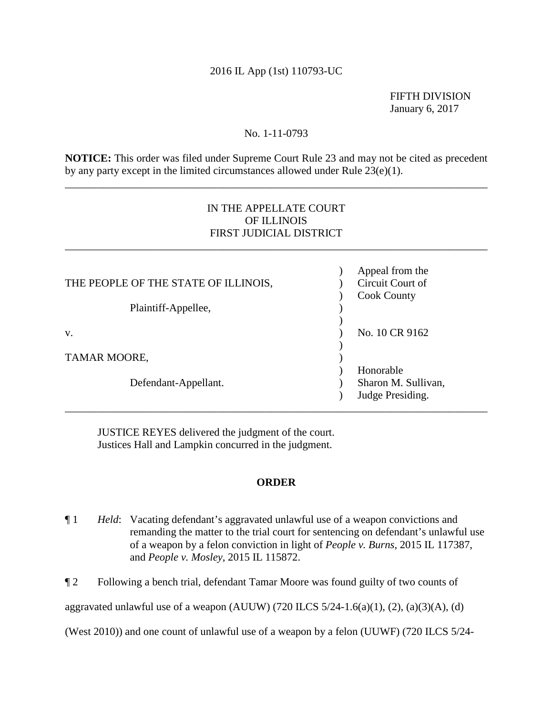## 2016 IL App (1st) 110793-UC

FIFTH DIVISION January 6, 2017

### No. 1-11-0793

**NOTICE:** This order was filed under Supreme Court Rule 23 and may not be cited as precedent by any party except in the limited circumstances allowed under Rule 23(e)(1).

\_\_\_\_\_\_\_\_\_\_\_\_\_\_\_\_\_\_\_\_\_\_\_\_\_\_\_\_\_\_\_\_\_\_\_\_\_\_\_\_\_\_\_\_\_\_\_\_\_\_\_\_\_\_\_\_\_\_\_\_\_\_\_\_\_\_\_\_\_\_\_\_\_\_\_\_\_\_

# IN THE APPELLATE COURT OF ILLINOIS FIRST JUDICIAL DISTRICT

\_\_\_\_\_\_\_\_\_\_\_\_\_\_\_\_\_\_\_\_\_\_\_\_\_\_\_\_\_\_\_\_\_\_\_\_\_\_\_\_\_\_\_\_\_\_\_\_\_\_\_\_\_\_\_\_\_\_\_\_\_\_\_\_\_\_\_\_\_\_\_\_\_\_\_\_\_\_

|                                      | Appeal from the     |
|--------------------------------------|---------------------|
| THE PEOPLE OF THE STATE OF ILLINOIS, | Circuit Court of    |
|                                      | <b>Cook County</b>  |
| Plaintiff-Appellee,                  |                     |
|                                      |                     |
| V.                                   | No. 10 CR 9162      |
|                                      |                     |
| TAMAR MOORE,                         |                     |
|                                      | Honorable           |
| Defendant-Appellant.                 | Sharon M. Sullivan, |
|                                      | Judge Presiding.    |

 Justices Hall and Lampkin concurred in the judgment. JUSTICE REYES delivered the judgment of the court.

## **ORDER**

\_\_\_\_\_\_\_\_\_\_\_\_\_\_\_\_\_\_\_\_\_\_\_\_\_\_\_\_\_\_\_\_\_\_\_\_\_\_\_\_\_\_\_\_\_\_\_\_\_\_\_\_\_\_\_\_\_\_\_\_\_\_\_\_\_\_\_\_\_\_\_\_\_\_\_\_\_\_

¶ 1 *Held*: Vacating defendant's aggravated unlawful use of a weapon convictions and remanding the matter to the trial court for sentencing on defendant's unlawful use of a weapon by a felon conviction in light of *People v. Burns*, 2015 IL 117387, and *People v. Mosley*, 2015 IL 115872.

¶ 2 Following a bench trial, defendant Tamar Moore was found guilty of two counts of

aggravated unlawful use of a weapon (AUUW) (720 ILCS  $5/24$ -1.6(a)(1), (2), (a)(3)(A), (d)

(West 2010)) and one count of unlawful use of a weapon by a felon (UUWF) (720 ILCS 5/24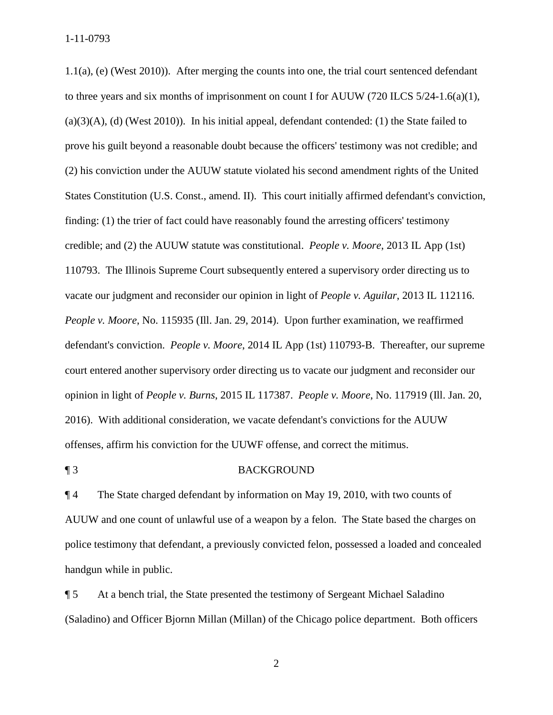to three years and six months of imprisonment on count I for AUUW (720 ILCS 5/24-1.6(a)(1), (a)(3)(A), (d) (West 2010)). In his initial appeal, defendant contended: (1) the State failed to (2) his conviction under the AUUW statute violated his second amendment rights of the United offenses, affirm his conviction for the UUWF offense, and correct the mitimus.<br> **T** 3 BACKGROUND 1.1(a), (e) (West 2010)). After merging the counts into one, the trial court sentenced defendant prove his guilt beyond a reasonable doubt because the officers' testimony was not credible; and States Constitution (U.S. Const., amend. II). This court initially affirmed defendant's conviction, finding: (1) the trier of fact could have reasonably found the arresting officers' testimony credible; and (2) the AUUW statute was constitutional. *People v. Moore*, 2013 IL App (1st) 110793. The Illinois Supreme Court subsequently entered a supervisory order directing us to vacate our judgment and reconsider our opinion in light of *People v. Aguilar*, 2013 IL 112116. *People v. Moore*, No. 115935 (Ill. Jan. 29, 2014). Upon further examination, we reaffirmed defendant's conviction. *People v. Moore*, 2014 IL App (1st) 110793-B. Thereafter, our supreme court entered another supervisory order directing us to vacate our judgment and reconsider our opinion in light of *People v. Burns*, 2015 IL 117387. *People v. Moore*, No. 117919 (Ill. Jan. 20, 2016). With additional consideration, we vacate defendant's convictions for the AUUW

¶ 4 The State charged defendant by information on May 19, 2010, with two counts of AUUW and one count of unlawful use of a weapon by a felon. The State based the charges on police testimony that defendant, a previously convicted felon, possessed a loaded and concealed handgun while in public.

¶ 5 At a bench trial, the State presented the testimony of Sergeant Michael Saladino (Saladino) and Officer Bjornn Millan (Millan) of the Chicago police department. Both officers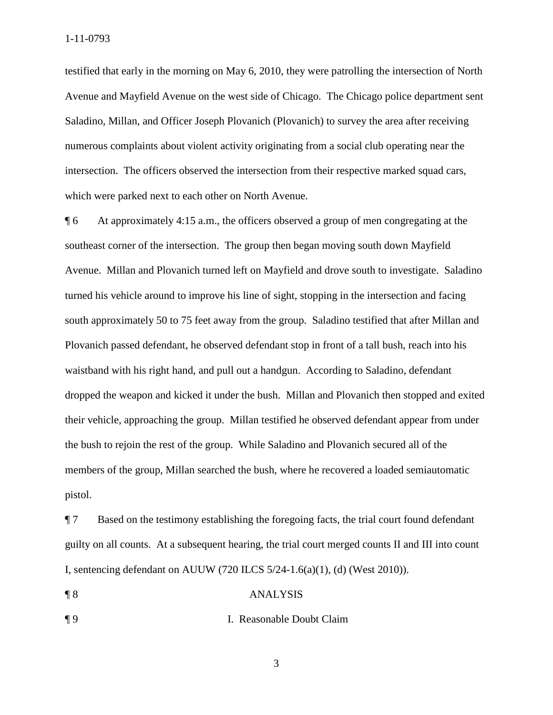testified that early in the morning on May 6, 2010, they were patrolling the intersection of North Avenue and Mayfield Avenue on the west side of Chicago. The Chicago police department sent Saladino, Millan, and Officer Joseph Plovanich (Plovanich) to survey the area after receiving numerous complaints about violent activity originating from a social club operating near the intersection. The officers observed the intersection from their respective marked squad cars, which were parked next to each other on North Avenue.

 their vehicle, approaching the group. Millan testified he observed defendant appear from under ¶ 6 At approximately 4:15 a.m., the officers observed a group of men congregating at the southeast corner of the intersection. The group then began moving south down Mayfield Avenue. Millan and Plovanich turned left on Mayfield and drove south to investigate. Saladino turned his vehicle around to improve his line of sight, stopping in the intersection and facing south approximately 50 to 75 feet away from the group. Saladino testified that after Millan and Plovanich passed defendant, he observed defendant stop in front of a tall bush, reach into his waistband with his right hand, and pull out a handgun. According to Saladino, defendant dropped the weapon and kicked it under the bush. Millan and Plovanich then stopped and exited the bush to rejoin the rest of the group. While Saladino and Plovanich secured all of the members of the group, Millan searched the bush, where he recovered a loaded semiautomatic pistol.

 guilty on all counts. At a subsequent hearing, the trial court merged counts II and III into count ¶ 7 Based on the testimony establishing the foregoing facts, the trial court found defendant I, sentencing defendant on AUUW (720 ILCS 5/24-1.6(a)(1), (d) (West 2010)).

### ¶ 8 ANALYSIS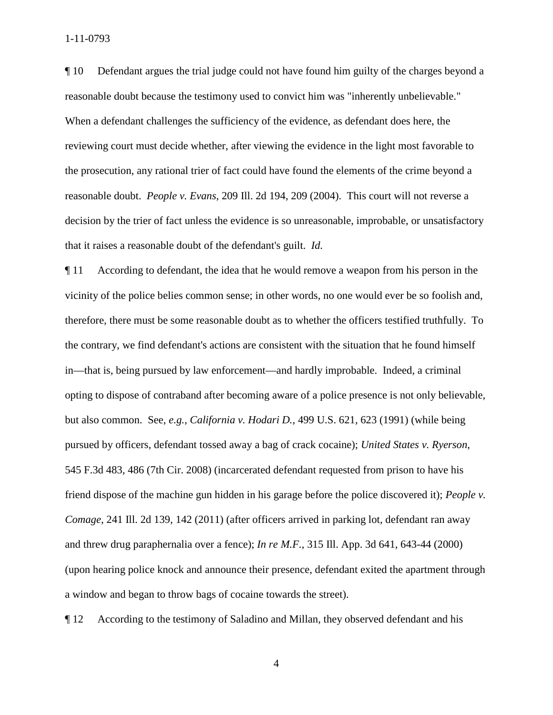1-11-0793

 reasonable doubt because the testimony used to convict him was "inherently unbelievable." that it raises a reasonable doubt of the defendant's guilt. *Id.*  ¶ 10 Defendant argues the trial judge could not have found him guilty of the charges beyond a When a defendant challenges the sufficiency of the evidence, as defendant does here, the reviewing court must decide whether, after viewing the evidence in the light most favorable to the prosecution, any rational trier of fact could have found the elements of the crime beyond a reasonable doubt. *People v. Evans*, 209 Ill. 2d 194, 209 (2004). This court will not reverse a decision by the trier of fact unless the evidence is so unreasonable, improbable, or unsatisfactory

 in—that is, being pursued by law enforcement—and hardly improbable. Indeed, a criminal opting to dispose of contraband after becoming aware of a police presence is not only believable, pursued by officers, defendant tossed away a bag of crack cocaine); *United States v. Ryerson*, ¶ 11 According to defendant, the idea that he would remove a weapon from his person in the vicinity of the police belies common sense; in other words, no one would ever be so foolish and, therefore, there must be some reasonable doubt as to whether the officers testified truthfully. To the contrary, we find defendant's actions are consistent with the situation that he found himself but also common. See, *e.g.*, *California v. Hodari D.*, 499 U.S. 621, 623 (1991) (while being 545 F.3d 483, 486 (7th Cir. 2008) (incarcerated defendant requested from prison to have his friend dispose of the machine gun hidden in his garage before the police discovered it); *People v. Comage*, 241 Ill. 2d 139, 142 (2011) (after officers arrived in parking lot, defendant ran away and threw drug paraphernalia over a fence); *In re M.F.*, 315 Ill. App. 3d 641, 643-44 (2000) (upon hearing police knock and announce their presence, defendant exited the apartment through a window and began to throw bags of cocaine towards the street).

¶ 12 According to the testimony of Saladino and Millan, they observed defendant and his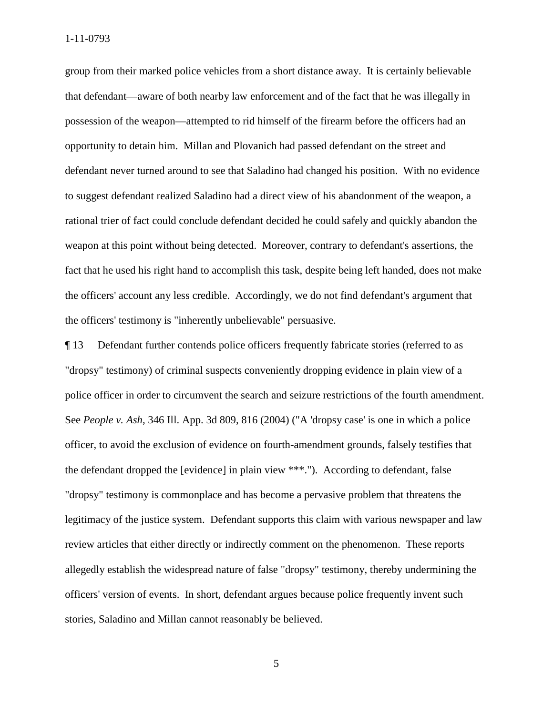group from their marked police vehicles from a short distance away. It is certainly believable possession of the weapon—attempted to rid himself of the firearm before the officers had an rational trier of fact could conclude defendant decided he could safely and quickly abandon the that defendant—aware of both nearby law enforcement and of the fact that he was illegally in opportunity to detain him. Millan and Plovanich had passed defendant on the street and defendant never turned around to see that Saladino had changed his position. With no evidence to suggest defendant realized Saladino had a direct view of his abandonment of the weapon, a weapon at this point without being detected. Moreover, contrary to defendant's assertions, the fact that he used his right hand to accomplish this task, despite being left handed, does not make the officers' account any less credible. Accordingly, we do not find defendant's argument that the officers' testimony is "inherently unbelievable" persuasive.

 stories, Saladino and Millan cannot reasonably be believed. ¶ 13 Defendant further contends police officers frequently fabricate stories (referred to as "dropsy" testimony) of criminal suspects conveniently dropping evidence in plain view of a police officer in order to circumvent the search and seizure restrictions of the fourth amendment. See *People v. Ash*, 346 Ill. App. 3d 809, 816 (2004) ("A 'dropsy case' is one in which a police officer, to avoid the exclusion of evidence on fourth-amendment grounds, falsely testifies that the defendant dropped the [evidence] in plain view \*\*\*."). According to defendant, false "dropsy" testimony is commonplace and has become a pervasive problem that threatens the legitimacy of the justice system. Defendant supports this claim with various newspaper and law review articles that either directly or indirectly comment on the phenomenon. These reports allegedly establish the widespread nature of false "dropsy" testimony, thereby undermining the officers' version of events. In short, defendant argues because police frequently invent such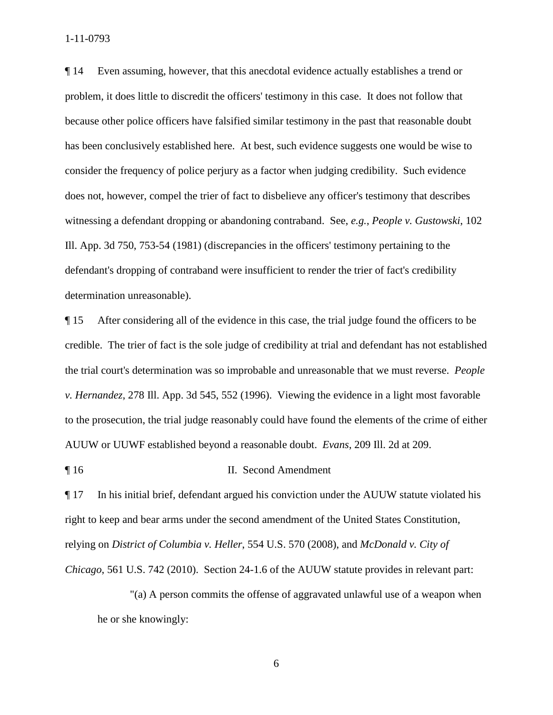1-11-0793

 problem, it does little to discredit the officers' testimony in this case. It does not follow that defendant's dropping of contraband were insufficient to render the trier of fact's credibility ¶ 14 Even assuming, however, that this anecdotal evidence actually establishes a trend or because other police officers have falsified similar testimony in the past that reasonable doubt has been conclusively established here. At best, such evidence suggests one would be wise to consider the frequency of police perjury as a factor when judging credibility. Such evidence does not, however, compel the trier of fact to disbelieve any officer's testimony that describes witnessing a defendant dropping or abandoning contraband. See, *e.g.*, *People v. Gustowski*, 102 Ill. App. 3d 750, 753-54 (1981) (discrepancies in the officers' testimony pertaining to the determination unreasonable).

 to the prosecution, the trial judge reasonably could have found the elements of the crime of either ¶ 15 After considering all of the evidence in this case, the trial judge found the officers to be credible. The trier of fact is the sole judge of credibility at trial and defendant has not established the trial court's determination was so improbable and unreasonable that we must reverse. *People v. Hernandez*, 278 Ill. App. 3d 545, 552 (1996). Viewing the evidence in a light most favorable AUUW or UUWF established beyond a reasonable doubt. *Evans*, 209 Ill. 2d at 209.

¶ 16 II. Second Amendment

¶ 17 In his initial brief, defendant argued his conviction under the AUUW statute violated his right to keep and bear arms under the second amendment of the United States Constitution, relying on *District of Columbia v. Heller*, 554 U.S. 570 (2008), and *McDonald v. City of Chicago*, 561 U.S. 742 (2010). Section 24-1.6 of the AUUW statute provides in relevant part:

"(a) A person commits the offense of aggravated unlawful use of a weapon when he or she knowingly: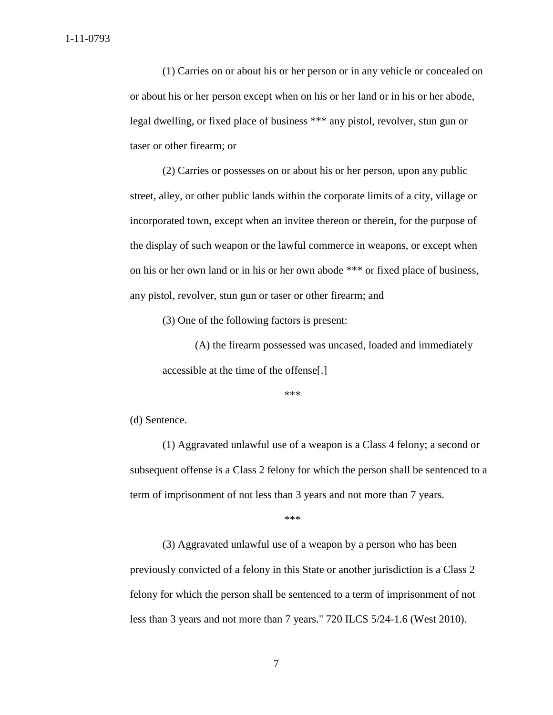(1) Carries on or about his or her person or in any vehicle or concealed on or about his or her person except when on his or her land or in his or her abode, legal dwelling, or fixed place of business \*\*\* any pistol, revolver, stun gun or taser or other firearm; or

(2) Carries or possesses on or about his or her person, upon any public street, alley, or other public lands within the corporate limits of a city, village or incorporated town, except when an invitee thereon or therein, for the purpose of the display of such weapon or the lawful commerce in weapons, or except when on his or her own land or in his or her own abode \*\*\* or fixed place of business, any pistol, revolver, stun gun or taser or other firearm; and

(3) One of the following factors is present:

(A) the firearm possessed was uncased, loaded and immediately accessible at the time of the offense[.]

\*\*\*

(d) Sentence.

(1) Aggravated unlawful use of a weapon is a Class 4 felony; a second or subsequent offense is a Class 2 felony for which the person shall be sentenced to a term of imprisonment of not less than 3 years and not more than 7 years.

\*\*\*

 previously convicted of a felony in this State or another jurisdiction is a Class 2 (3) Aggravated unlawful use of a weapon by a person who has been felony for which the person shall be sentenced to a term of imprisonment of not less than 3 years and not more than 7 years." 720 ILCS 5/24-1.6 (West 2010).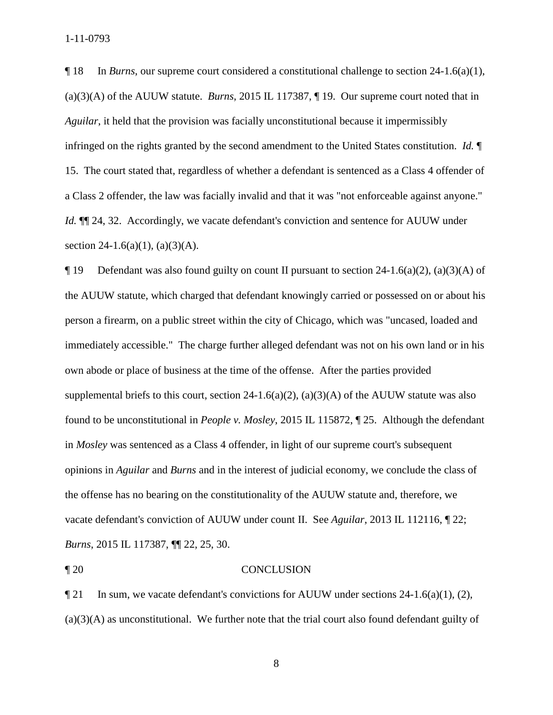(a)(3)(A) of the AUUW statute. *Burns*, 2015 IL 117387, ¶ 19. Our supreme court noted that in a Class 2 offender, the law was facially invalid and that it was "not enforceable against anyone." ¶ 18 In *Burns*, our supreme court considered a constitutional challenge to section 24-1.6(a)(1), *Aguilar*, it held that the provision was facially unconstitutional because it impermissibly infringed on the rights granted by the second amendment to the United States constitution. *Id.* ¶ 15. The court stated that, regardless of whether a defendant is sentenced as a Class 4 offender of *Id.*  $\P$  24, 32. Accordingly, we vacate defendant's conviction and sentence for AUUW under section 24-1.6(a)(1), (a)(3)(A).

 own abode or place of business at the time of the offense. After the parties provided vacate defendant's conviction of AUUW under count II. See *Aguilar*, 2013 IL 112116, ¶ 22;  $\P$  19 Defendant was also found guilty on count II pursuant to section 24-1.6(a)(2), (a)(3)(A) of the AUUW statute, which charged that defendant knowingly carried or possessed on or about his person a firearm, on a public street within the city of Chicago, which was "uncased, loaded and immediately accessible." The charge further alleged defendant was not on his own land or in his supplemental briefs to this court, section  $24-1.6(a)(2)$ ,  $(a)(3)(A)$  of the AUUW statute was also found to be unconstitutional in *People v. Mosley*, 2015 IL 115872, ¶ 25. Although the defendant in *Mosley* was sentenced as a Class 4 offender, in light of our supreme court's subsequent opinions in *Aguilar* and *Burns* and in the interest of judicial economy, we conclude the class of the offense has no bearing on the constitutionality of the AUUW statute and, therefore, we *Burns*, 2015 IL 117387, ¶¶ 22, 25, 30.

### ¶ 20 CONCLUSION

 (a)(3)(A) as unconstitutional. We further note that the trial court also found defendant guilty of  $\P$  21 In sum, we vacate defendant's convictions for AUUW under sections 24-1.6(a)(1), (2),